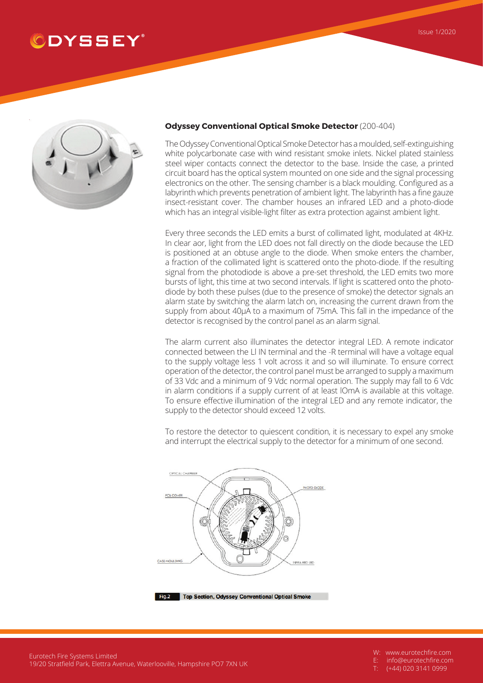## **DYSSEY**



## **Odyssey Conventional Optical Smoke Detector** (200-404)

TheOdysseyConventionalOpticalSmokeDetectorhas amoulded, self-extinguishing white polycarbonate case with wind resistant smoke inlets. Nickel plated stainless steel wiper contacts connect the detector to the base. Inside the case, a printed circuit board has the optical system mounted on one side and the signal processing electronics on the other. The sensing chamber is a black moulding. Configured as a labyrinth which prevents penetration of ambient light. The labyrinth has a fine gauze insect-resistant cover. The chamber houses an infrared LED and a photo-diode which has an integral visible-light filter as extra protection against ambient light.

Every three seconds the LED emits a burst of collimated light, modulated at 4KHz. In clear aor, light from the LED does not fall directly on the diode because the LED is positioned at an obtuse angle to the diode. When smoke enters the chamber, a fraction of the collimated light is scattered onto the photo-diode. If the resulting signal from the photodiode is above a pre-set threshold, the LED emits two more bursts of light, this time at two second intervals. If light is scattered onto the photodiode by both these pulses (due to the presence of smoke) the detector signals an alarm state by switching the alarm latch on, increasing the current drawn from the supply from about 40μA to a maximum of 75mA. This fall in the impedance of the detector is recognised by the control panel as an alarm signal.

The alarm current also illuminates the detector integral LED. A remote indicator connected between the Ll IN terminal and the -R terminal will have a voltage equal to the supply voltage less 1 volt across it and so will illuminate. To ensure correct operation of the detector, the control panel must be arranged to supply a maximum of 33 Vdc and a minimum of 9 Vdc normal operation. The supply may fall to 6 Vdc in alarm conditions if a supply current of at least lOmA is available at this voltage. To ensure effective illumination of the integral LED and any remote indicator, the supply to the detector should exceed 12 volts.

To restore the detector to quiescent condition, it is necessary to expel any smoke and interrupt the electrical supply to the detector for a minimum of one second.



Fig.2 Top Section, Odyssey Conventional Optical Smoke

W: www.eurotechfire.com

E: info@eurotechfire.com

(+44) 020 3141 0999